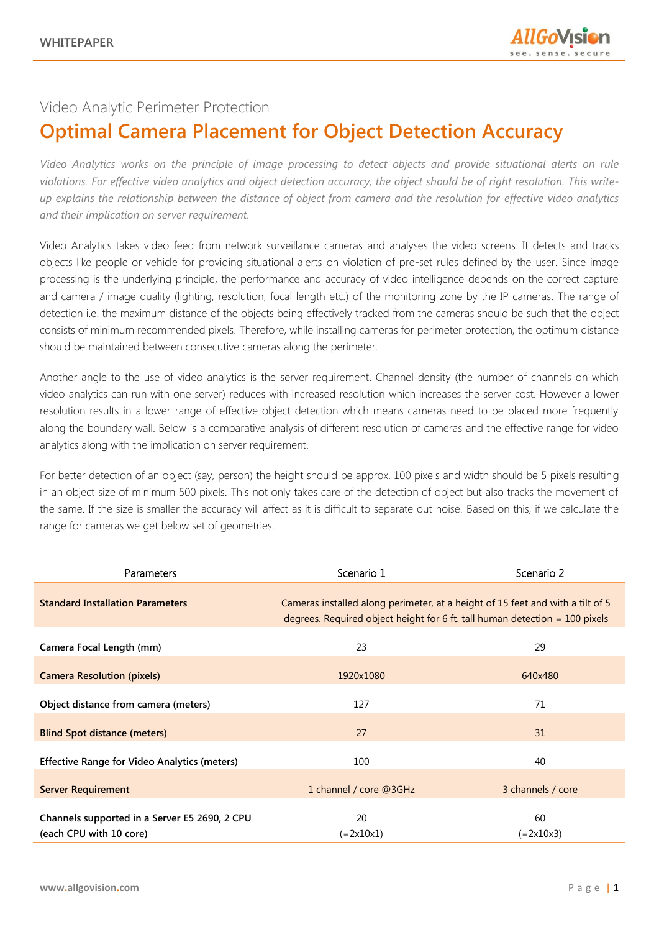## Video Analytic Perimeter Protection

## **Optimal Camera Placement for Object Detection Accuracy**

*Video Analytics works on the principle of image processing to detect objects and provide situational alerts on rule violations. For effective video analytics and object detection accuracy, the object should be of right resolution. This writeup explains the relationship between the distance of object from camera and the resolution for effective video analytics and their implication on server requirement.*

Video Analytics takes video feed from network surveillance cameras and analyses the video screens. It detects and tracks objects like people or vehicle for providing situational alerts on violation of pre-set rules defined by the user. Since image processing is the underlying principle, the performance and accuracy of video intelligence depends on the correct capture and camera / image quality (lighting, resolution, focal length etc.) of the monitoring zone by the IP cameras. The range of detection i.e. the maximum distance of the objects being effectively tracked from the cameras should be such that the object consists of minimum recommended pixels. Therefore, while installing cameras for perimeter protection, the optimum distance should be maintained between consecutive cameras along the perimeter.

Another angle to the use of video analytics is the server requirement. Channel density (the number of channels on which video analytics can run with one server) reduces with increased resolution which increases the server cost. However a lower resolution results in a lower range of effective object detection which means cameras need to be placed more frequently along the boundary wall. Below is a comparative analysis of different resolution of cameras and the effective range for video analytics along with the implication on server requirement.

For better detection of an object (say, person) the height should be approx. 100 pixels and width should be 5 pixels resulting in an object size of minimum 500 pixels. This not only takes care of the detection of object but also tracks the movement of the same. If the size is smaller the accuracy will affect as it is difficult to separate out noise. Based on this, if we calculate the range for cameras we get below set of geometries.

| Parameters                                                               | Scenario 1                                                                                                                                                      | Scenario 2        |
|--------------------------------------------------------------------------|-----------------------------------------------------------------------------------------------------------------------------------------------------------------|-------------------|
| <b>Standard Installation Parameters</b>                                  | Cameras installed along perimeter, at a height of 15 feet and with a tilt of 5<br>degrees. Required object height for $6$ ft. tall human detection = 100 pixels |                   |
| Camera Focal Length (mm)                                                 | 23                                                                                                                                                              | 29                |
| <b>Camera Resolution (pixels)</b>                                        | 1920x1080                                                                                                                                                       | 640x480           |
| Object distance from camera (meters)                                     | 127                                                                                                                                                             | 71                |
| <b>Blind Spot distance (meters)</b>                                      | 27                                                                                                                                                              | 31                |
| <b>Effective Range for Video Analytics (meters)</b>                      | 100                                                                                                                                                             | 40                |
| <b>Server Requirement</b>                                                | 1 channel / core @3GHz                                                                                                                                          | 3 channels / core |
| Channels supported in a Server E5 2690, 2 CPU<br>(each CPU with 10 core) | 20<br>(=2x10x1)                                                                                                                                                 | 60<br>(=2x10x3)   |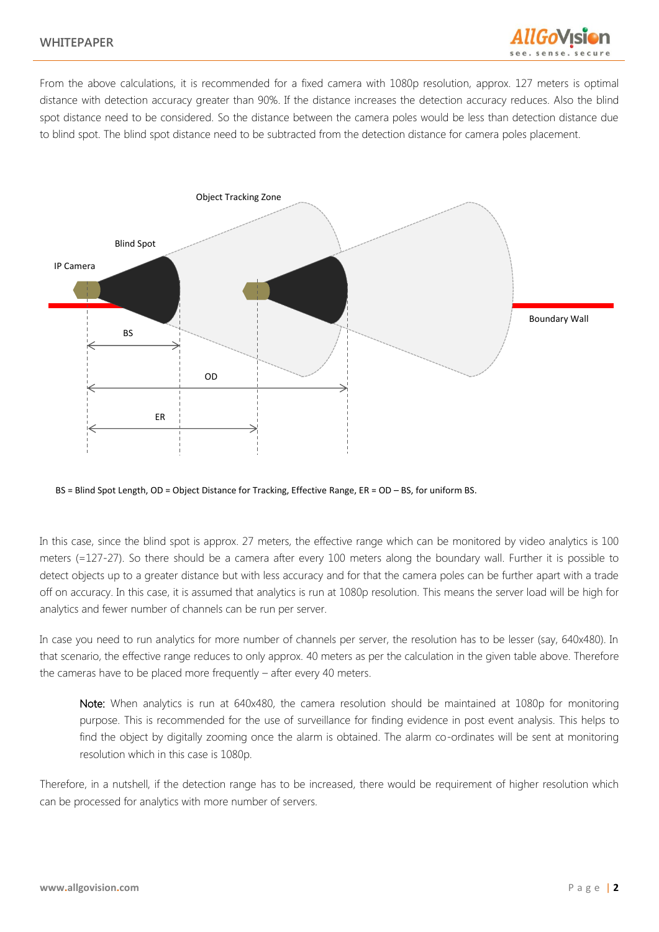From the above calculations, it is recommended for a fixed camera with 1080p resolution, approx. 127 meters is optimal distance with detection accuracy greater than 90%. If the distance increases the detection accuracy reduces. Also the blind spot distance need to be considered. So the distance between the camera poles would be less than detection distance due to blind spot. The blind spot distance need to be subtracted from the detection distance for camera poles placement.



BS = Blind Spot Length, OD = Object Distance for Tracking, Effective Range, ER = OD – BS, for uniform BS.

In this case, since the blind spot is approx. 27 meters, the effective range which can be monitored by video analytics is 100 meters (=127-27). So there should be a camera after every 100 meters along the boundary wall. Further it is possible to detect objects up to a greater distance but with less accuracy and for that the camera poles can be further apart with a trade off on accuracy. In this case, it is assumed that analytics is run at 1080p resolution. This means the server load will be high for analytics and fewer number of channels can be run per server.

In case you need to run analytics for more number of channels per server, the resolution has to be lesser (say, 640x480). In that scenario, the effective range reduces to only approx. 40 meters as per the calculation in the given table above. Therefore the cameras have to be placed more frequently – after every 40 meters.

Note: When analytics is run at 640x480, the camera resolution should be maintained at 1080p for monitoring purpose. This is recommended for the use of surveillance for finding evidence in post event analysis. This helps to find the object by digitally zooming once the alarm is obtained. The alarm co-ordinates will be sent at monitoring resolution which in this case is 1080p.

Therefore, in a nutshell, if the detection range has to be increased, there would be requirement of higher resolution which can be processed for analytics with more number of servers.